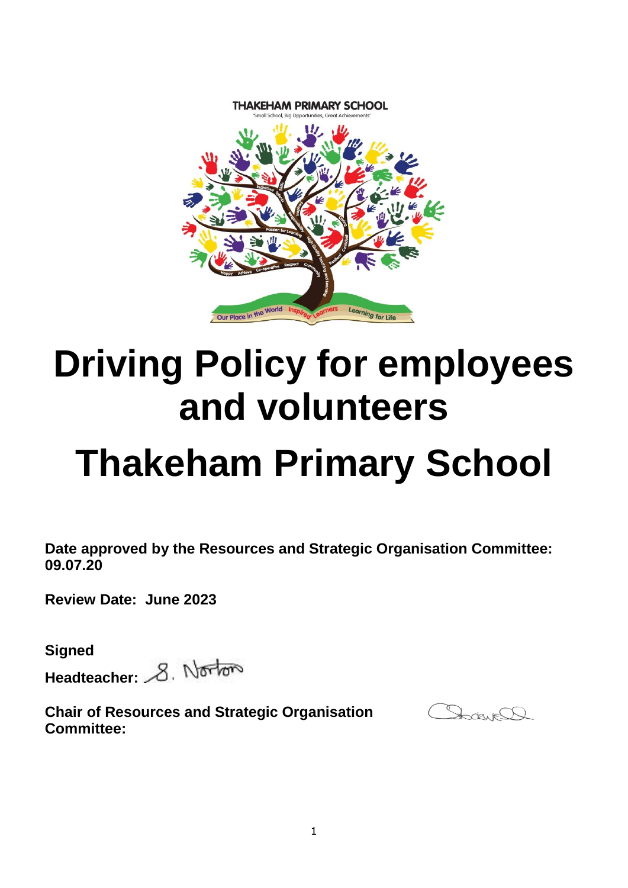

# **Driving Policy for employees and volunteers**

# **Thakeham Primary School**

**Date approved by the Resources and Strategic Organisation Committee: 09.07.20**

**Review Date: June 2023**

**Signed**

Headteacher: 8. Norton

**Chair of Resources and Strategic Organisation Committee:** 

Dadwell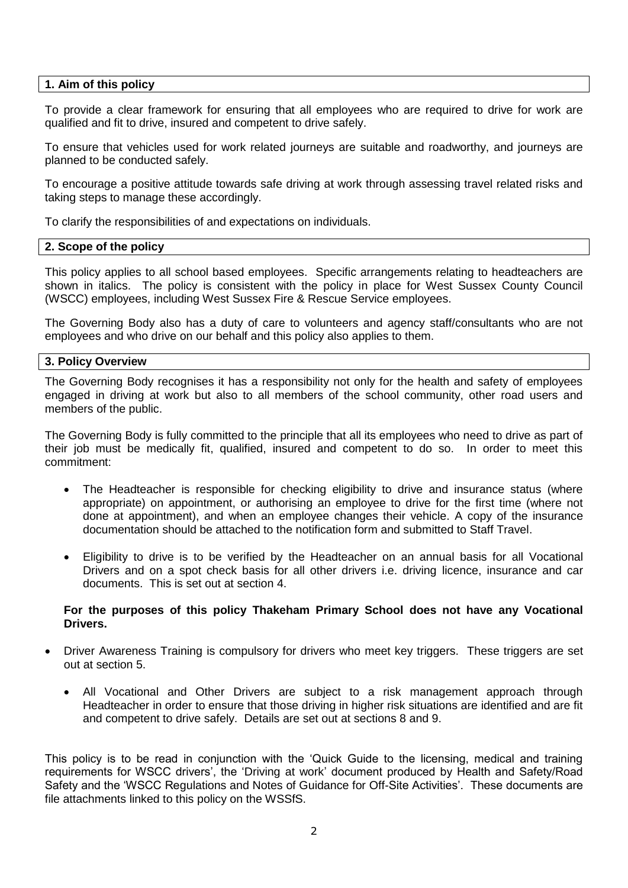### **1. Aim of this policy**

To provide a clear framework for ensuring that all employees who are required to drive for work are qualified and fit to drive, insured and competent to drive safely.

To ensure that vehicles used for work related journeys are suitable and roadworthy, and journeys are planned to be conducted safely.

To encourage a positive attitude towards safe driving at work through assessing travel related risks and taking steps to manage these accordingly.

To clarify the responsibilities of and expectations on individuals.

## **2. Scope of the policy**

This policy applies to all school based employees. Specific arrangements relating to headteachers are shown in italics. The policy is consistent with the policy in place for West Sussex County Council (WSCC) employees, including West Sussex Fire & Rescue Service employees.

The Governing Body also has a duty of care to volunteers and agency staff/consultants who are not employees and who drive on our behalf and this policy also applies to them.

## **3. Policy Overview**

The Governing Body recognises it has a responsibility not only for the health and safety of employees engaged in driving at work but also to all members of the school community, other road users and members of the public.

The Governing Body is fully committed to the principle that all its employees who need to drive as part of their job must be medically fit, qualified, insured and competent to do so. In order to meet this commitment:

- The Headteacher is responsible for checking eligibility to drive and insurance status (where appropriate) on appointment, or authorising an employee to drive for the first time (where not done at appointment), and when an employee changes their vehicle. A copy of the insurance documentation should be attached to the notification form and submitted to Staff Travel.
- Eligibility to drive is to be verified by the Headteacher on an annual basis for all Vocational Drivers and on a spot check basis for all other drivers i.e. driving licence, insurance and car documents. This is set out at section 4.

### **For the purposes of this policy Thakeham Primary School does not have any Vocational Drivers.**

- Driver Awareness Training is compulsory for drivers who meet key triggers. These triggers are set out at section 5.
	- All Vocational and Other Drivers are subject to a risk management approach through Headteacher in order to ensure that those driving in higher risk situations are identified and are fit and competent to drive safely. Details are set out at sections 8 and 9.

This policy is to be read in conjunction with the 'Quick Guide to the licensing, medical and training requirements for WSCC drivers', the 'Driving at work' document produced by Health and Safety/Road Safety and the 'WSCC Regulations and Notes of Guidance for Off-Site Activities'. These documents are file attachments linked to this policy on the WSSfS.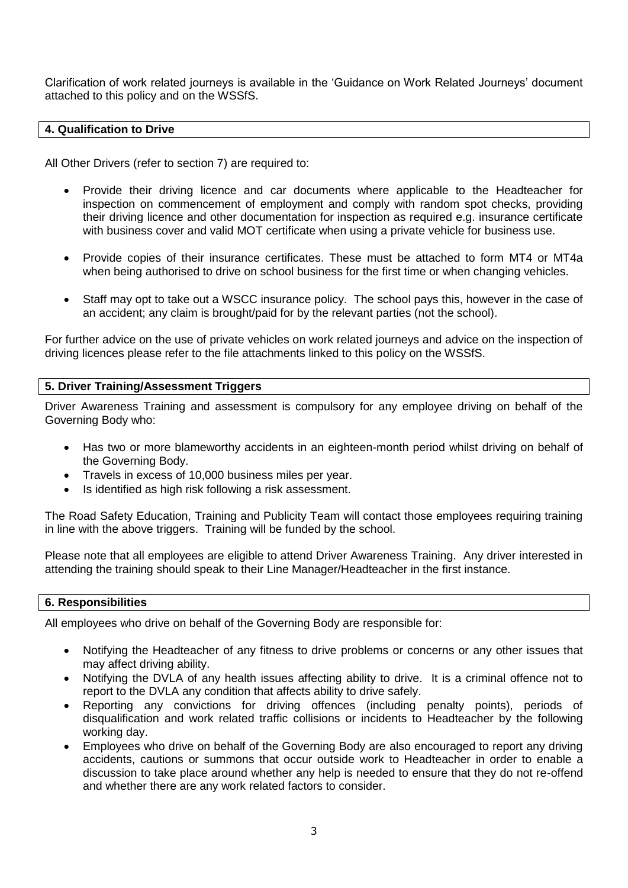Clarification of work related journeys is available in the 'Guidance on Work Related Journeys' document attached to this policy and on the WSSfS.

## **4. Qualification to Drive**

All Other Drivers (refer to section 7) are required to:

- Provide their driving licence and car documents where applicable to the Headteacher for inspection on commencement of employment and comply with random spot checks, providing their driving licence and other documentation for inspection as required e.g. insurance certificate with business cover and valid MOT certificate when using a private vehicle for business use.
- Provide copies of their insurance certificates. These must be attached to form MT4 or MT4a when being authorised to drive on school business for the first time or when changing vehicles.
- Staff may opt to take out a WSCC insurance policy. The school pays this, however in the case of an accident; any claim is brought/paid for by the relevant parties (not the school).

For further advice on the use of private vehicles on work related journeys and advice on the inspection of driving licences please refer to the file attachments linked to this policy on the WSSfS.

## **5. Driver Training/Assessment Triggers**

Driver Awareness Training and assessment is compulsory for any employee driving on behalf of the Governing Body who:

- Has two or more blameworthy accidents in an eighteen-month period whilst driving on behalf of the Governing Body.
- Travels in excess of 10,000 business miles per year.
- Is identified as high risk following a risk assessment.

The Road Safety Education, Training and Publicity Team will contact those employees requiring training in line with the above triggers. Training will be funded by the school.

Please note that all employees are eligible to attend Driver Awareness Training. Any driver interested in attending the training should speak to their Line Manager/Headteacher in the first instance.

### **6. Responsibilities**

All employees who drive on behalf of the Governing Body are responsible for:

- Notifying the Headteacher of any fitness to drive problems or concerns or any other issues that may affect driving ability.
- Notifying the DVLA of any health issues affecting ability to drive. It is a criminal offence not to report to the DVLA any condition that affects ability to drive safely.
- Reporting any convictions for driving offences (including penalty points), periods of disqualification and work related traffic collisions or incidents to Headteacher by the following working day.
- Employees who drive on behalf of the Governing Body are also encouraged to report any driving accidents, cautions or summons that occur outside work to Headteacher in order to enable a discussion to take place around whether any help is needed to ensure that they do not re-offend and whether there are any work related factors to consider.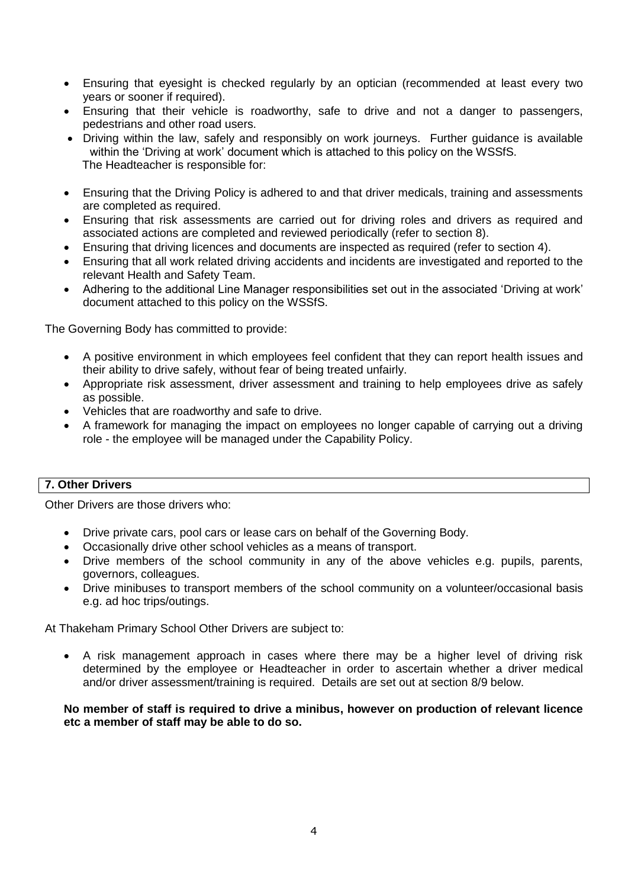- Ensuring that eyesight is checked regularly by an optician (recommended at least every two years or sooner if required).
- Ensuring that their vehicle is roadworthy, safe to drive and not a danger to passengers, pedestrians and other road users.
- Driving within the law, safely and responsibly on work journeys. Further guidance is available within the 'Driving at work' document which is attached to this policy on the WSSfS. The Headteacher is responsible for:
- Ensuring that the Driving Policy is adhered to and that driver medicals, training and assessments are completed as required.
- Ensuring that risk assessments are carried out for driving roles and drivers as required and associated actions are completed and reviewed periodically (refer to section 8).
- Ensuring that driving licences and documents are inspected as required (refer to section 4).
- Ensuring that all work related driving accidents and incidents are investigated and reported to the relevant Health and Safety Team.
- Adhering to the additional Line Manager responsibilities set out in the associated 'Driving at work' document attached to this policy on the WSSfS.

The Governing Body has committed to provide:

- A positive environment in which employees feel confident that they can report health issues and their ability to drive safely, without fear of being treated unfairly.
- Appropriate risk assessment, driver assessment and training to help employees drive as safely as possible.
- Vehicles that are roadworthy and safe to drive.
- A framework for managing the impact on employees no longer capable of carrying out a driving role - the employee will be managed under the Capability Policy.

# **7. Other Drivers**

Other Drivers are those drivers who:

- Drive private cars, pool cars or lease cars on behalf of the Governing Body.
- Occasionally drive other school vehicles as a means of transport.
- Drive members of the school community in any of the above vehicles e.g. pupils, parents, governors, colleagues.
- Drive minibuses to transport members of the school community on a volunteer/occasional basis e.g. ad hoc trips/outings.

At Thakeham Primary School Other Drivers are subject to:

 A risk management approach in cases where there may be a higher level of driving risk determined by the employee or Headteacher in order to ascertain whether a driver medical and/or driver assessment/training is required. Details are set out at section 8/9 below.

**No member of staff is required to drive a minibus, however on production of relevant licence etc a member of staff may be able to do so.**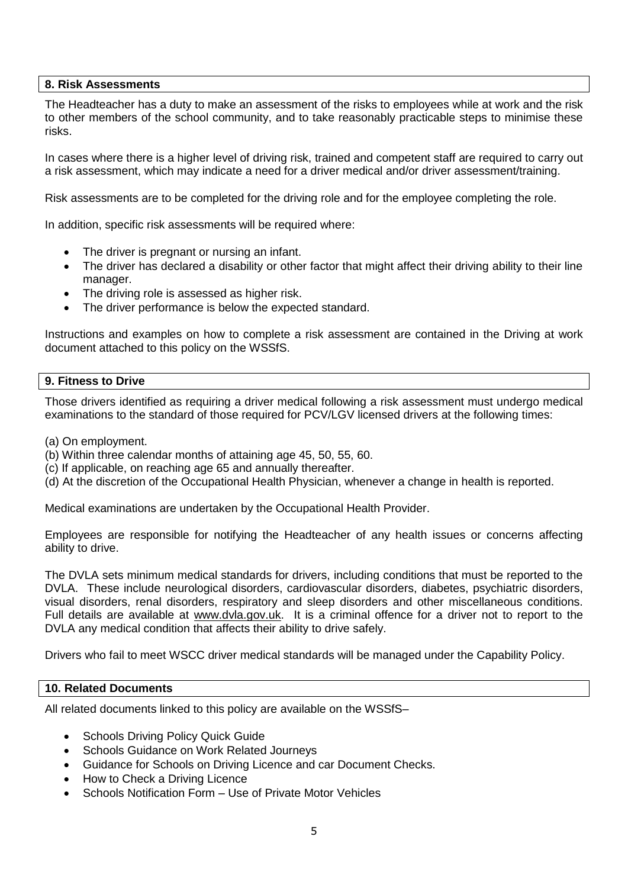## **8. Risk Assessments**

The Headteacher has a duty to make an assessment of the risks to employees while at work and the risk to other members of the school community, and to take reasonably practicable steps to minimise these risks.

In cases where there is a higher level of driving risk, trained and competent staff are required to carry out a risk assessment, which may indicate a need for a driver medical and/or driver assessment/training.

Risk assessments are to be completed for the driving role and for the employee completing the role.

In addition, specific risk assessments will be required where:

- The driver is pregnant or nursing an infant.
- The driver has declared a disability or other factor that might affect their driving ability to their line manager.
- The driving role is assessed as higher risk.
- The driver performance is below the expected standard.

Instructions and examples on how to complete a risk assessment are contained in the Driving at work document attached to this policy on the WSSfS.

### **9. Fitness to Drive**

Those drivers identified as requiring a driver medical following a risk assessment must undergo medical examinations to the standard of those required for PCV/LGV licensed drivers at the following times:

- (a) On employment.
- (b) Within three calendar months of attaining age 45, 50, 55, 60.
- (c) If applicable, on reaching age 65 and annually thereafter.
- (d) At the discretion of the Occupational Health Physician, whenever a change in health is reported.

Medical examinations are undertaken by the Occupational Health Provider.

Employees are responsible for notifying the Headteacher of any health issues or concerns affecting ability to drive.

The DVLA sets minimum medical standards for drivers, including conditions that must be reported to the DVLA. These include neurological disorders, cardiovascular disorders, diabetes, psychiatric disorders, visual disorders, renal disorders, respiratory and sleep disorders and other miscellaneous conditions. Full details are available at [www.dvla.gov.uk.](http://www.dvla.gov.uk/) It is a criminal offence for a driver not to report to the DVLA any medical condition that affects their ability to drive safely.

Drivers who fail to meet WSCC driver medical standards will be managed under the Capability Policy.

## **10. Related Documents**

All related documents linked to this policy are available on the WSSfS–

- Schools Driving Policy Quick Guide
- Schools Guidance on Work Related Journeys
- Guidance for Schools on Driving Licence and car Document Checks.
- How to Check a Driving Licence
- Schools Notification Form Use of Private Motor Vehicles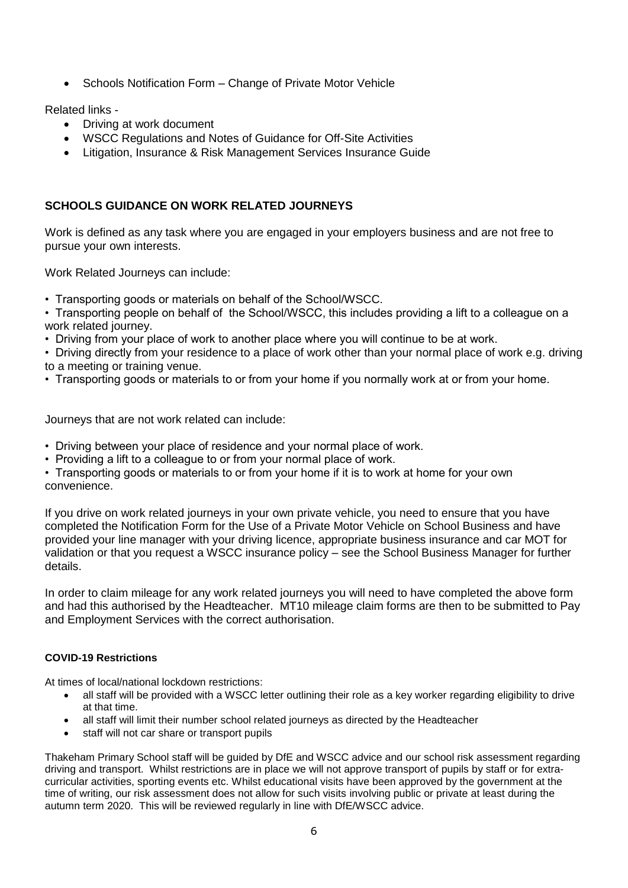Schools Notification Form – Change of Private Motor Vehicle

Related links -

- Driving at work document
- WSCC Regulations and Notes of Guidance for Off-Site Activities
- Litigation, Insurance & Risk Management Services Insurance Guide

# **SCHOOLS GUIDANCE ON WORK RELATED JOURNEYS**

Work is defined as any task where you are engaged in your employers business and are not free to pursue your own interests.

Work Related Journeys can include:

• Transporting goods or materials on behalf of the School/WSCC.

• Transporting people on behalf of the School/WSCC, this includes providing a lift to a colleague on a work related journey.

• Driving from your place of work to another place where you will continue to be at work.

• Driving directly from your residence to a place of work other than your normal place of work e.g. driving to a meeting or training venue.

• Transporting goods or materials to or from your home if you normally work at or from your home.

Journeys that are not work related can include:

- Driving between your place of residence and your normal place of work.
- Providing a lift to a colleague to or from your normal place of work.
- Transporting goods or materials to or from your home if it is to work at home for your own convenience.

If you drive on work related journeys in your own private vehicle, you need to ensure that you have completed the Notification Form for the Use of a Private Motor Vehicle on School Business and have provided your line manager with your driving licence, appropriate business insurance and car MOT for validation or that you request a WSCC insurance policy – see the School Business Manager for further details.

In order to claim mileage for any work related journeys you will need to have completed the above form and had this authorised by the Headteacher. MT10 mileage claim forms are then to be submitted to Pay and Employment Services with the correct authorisation.

### **COVID-19 Restrictions**

At times of local/national lockdown restrictions:

- all staff will be provided with a WSCC letter outlining their role as a key worker regarding eligibility to drive at that time.
- all staff will limit their number school related journeys as directed by the Headteacher
- staff will not car share or transport pupils

Thakeham Primary School staff will be guided by DfE and WSCC advice and our school risk assessment regarding driving and transport. Whilst restrictions are in place we will not approve transport of pupils by staff or for extracurricular activities, sporting events etc. Whilst educational visits have been approved by the government at the time of writing, our risk assessment does not allow for such visits involving public or private at least during the autumn term 2020. This will be reviewed regularly in line with DfE/WSCC advice.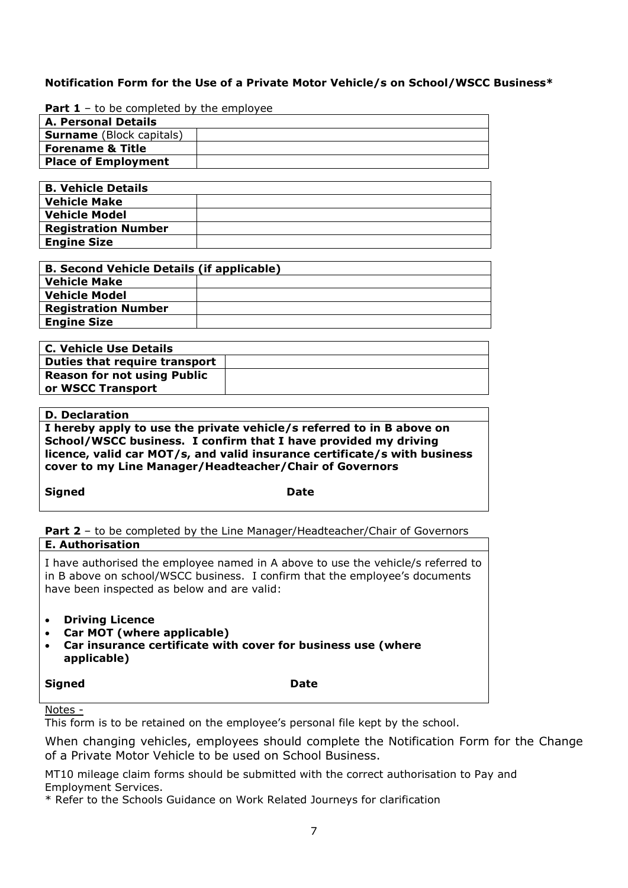## **Notification Form for the Use of a Private Motor Vehicle/s on School/WSCC Business\***

**Part 1** – to be completed by the employee

| <b>A. Personal Details</b>      |  |
|---------------------------------|--|
| <b>Surname</b> (Block capitals) |  |
| <b>Forename &amp; Title</b>     |  |
| <b>Place of Employment</b>      |  |
|                                 |  |

| <b>B. Vehicle Details</b>  |  |
|----------------------------|--|
| <b>Vehicle Make</b>        |  |
| <b>Vehicle Model</b>       |  |
| <b>Registration Number</b> |  |
| <b>Engine Size</b>         |  |

| <b>B. Second Vehicle Details (if applicable)</b> |  |
|--------------------------------------------------|--|
| <b>Vehicle Make</b>                              |  |
| <b>Vehicle Model</b>                             |  |
| <b>Registration Number</b>                       |  |
| <b>Engine Size</b>                               |  |
|                                                  |  |

| <b>C. Vehicle Use Details</b>      |  |
|------------------------------------|--|
| Duties that require transport      |  |
| <b>Reason for not using Public</b> |  |
| or WSCC Transport                  |  |

# **D. Declaration**

**I hereby apply to use the private vehicle/s referred to in B above on School/WSCC business. I confirm that I have provided my driving licence, valid car MOT/s, and valid insurance certificate/s with business cover to my Line Manager/Headteacher/Chair of Governors**

**Signed Date** 

Part 2 - to be completed by the Line Manager/Headteacher/Chair of Governors **E. Authorisation**

I have authorised the employee named in A above to use the vehicle/s referred to in B above on school/WSCC business. I confirm that the employee's documents have been inspected as below and are valid:

- **Driving Licence**
- **Car MOT (where applicable)**
- **Car insurance certificate with cover for business use (where applicable)**

**Signed** Date

Notes -

This form is to be retained on the employee's personal file kept by the school.

When changing vehicles, employees should complete the Notification Form for the Change of a Private Motor Vehicle to be used on School Business.

MT10 mileage claim forms should be submitted with the correct authorisation to Pay and Employment Services.

\* Refer to the Schools Guidance on Work Related Journeys for clarification